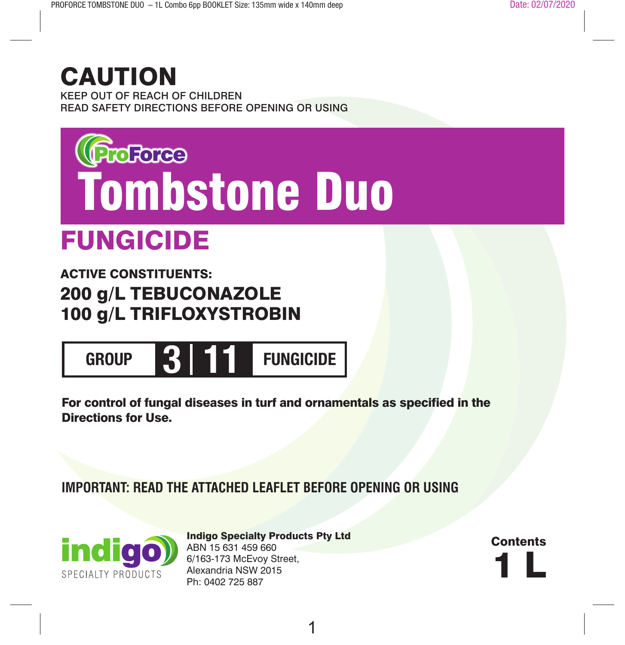# CAUTION

KEEP OUT OF REACH OF CHILDREN READ SAFETY DIRECTIONS BEFORE OPENING OR USING



# FUNGICIDE

ACTIVE CONSTITUENTS: 200 g/L TEBUCONAZOLE 100 g/L TRIFLOXYSTROBIN



For control of fungal diseases in turf and ornamentals as specified in the Directions for Use.

**IMPORTANT: READ THE ATTACHED LEAFLET BEFORE OPENING OR USING**



Indigo Specialty Products Pty Ltd ABN 15 631 459 660 6/163-173 McEvoy Street, Alexandria NSW 2015 Ph: 0402 725 887

1 L **Contents**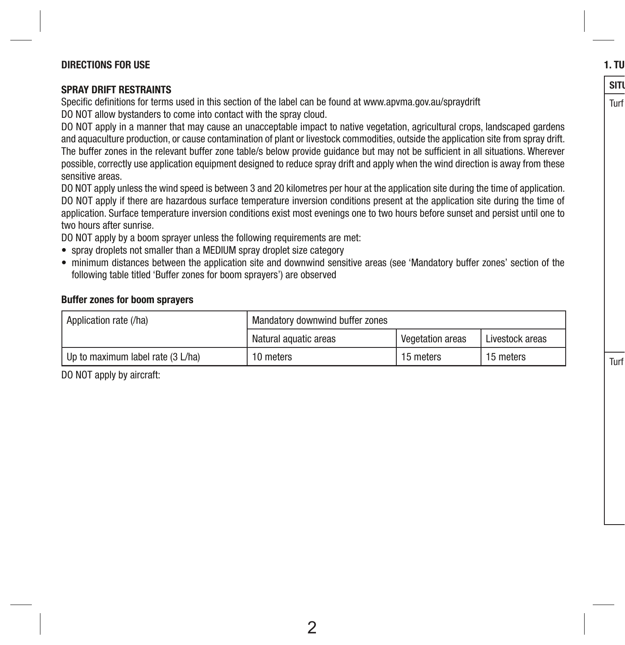#### **DIRECTIONS FOR USE**

#### **SPRAY DRIFT RESTRAINTS**

Specific definitions for terms used in this section of the label can be found at www.apvma.gov.au/spraydrift DO NOT allow bystanders to come into contact with the spray cloud.

DO NOT apply in a manner that may cause an unacceptable impact to native vegetation, agricultural crops, landscaped gardens and aquaculture production, or cause contamination of plant or livestock commodities, outside the application site from spray drift. The buffer zones in the relevant buffer zone table/s below provide guidance but may not be sufficient in all situations. Wherever possible, correctly use application equipment designed to reduce spray drift and apply when the wind direction is away from these sensitive areas.

DO NOT apply unless the wind speed is between 3 and 20 kilometres per hour at the application site during the time of application. DO NOT apply if there are hazardous surface temperature inversion conditions present at the application site during the time of application. Surface temperature inversion conditions exist most evenings one to two hours before sunset and persist until one to two hours after sunrise.

DO NOT apply by a boom sprayer unless the following requirements are met:

- spray droplets not smaller than a MEDIUM spray droplet size category
- minimum distances between the application site and downwind sensitive areas (see 'Mandatory buffer zones' section of the following table titled 'Buffer zones for boom sprayers') are observed

#### **Buffer zones for boom sprayers**

| Application rate (/ha)            | Mandatory downwind buffer zones |                         |                 |
|-----------------------------------|---------------------------------|-------------------------|-----------------|
|                                   | Natural aquatic areas           | <b>Vegetation areas</b> | Livestock areas |
| Up to maximum label rate (3 L/ha) | 10 meters                       | 15 meters               | 15 meters       |

DO NOT apply by aircraft:

**1. TU** 

## $SITU$

Turf

Turf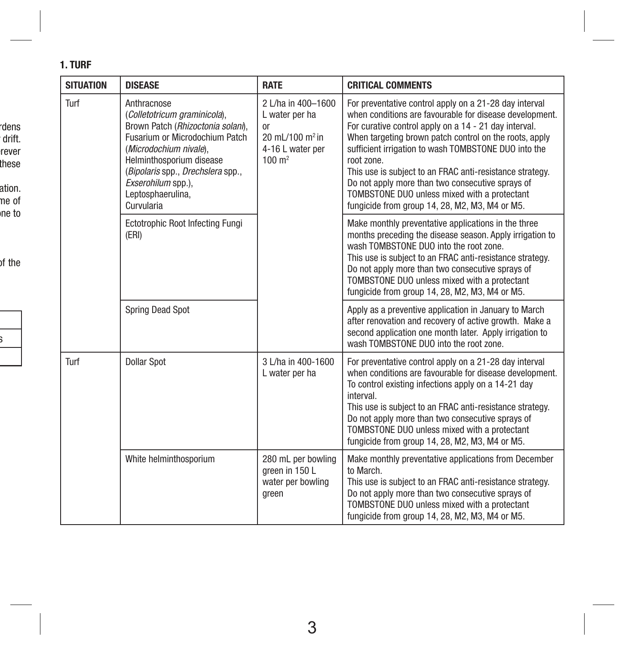### **1. TURF**

 $\overline{\phantom{a}}$ 

rdens drift. rever these ation. ne of ne to

of the

s i

| <b>SITUATION</b> | <b>DISEASE</b>                                                                                                                                                                                                                                                         | <b>RATE</b>                                                                                                                   | <b>CRITICAL COMMENTS</b>                                                                                                                                                                                                                                                                                                                                                                                                                                                                                                     |
|------------------|------------------------------------------------------------------------------------------------------------------------------------------------------------------------------------------------------------------------------------------------------------------------|-------------------------------------------------------------------------------------------------------------------------------|------------------------------------------------------------------------------------------------------------------------------------------------------------------------------------------------------------------------------------------------------------------------------------------------------------------------------------------------------------------------------------------------------------------------------------------------------------------------------------------------------------------------------|
| Turf             | Anthracnose<br>(Colletotricum graminicola),<br>Brown Patch (Rhizoctonia solani),<br>Fusarium or Microdochium Patch<br>(Microdochium nivale),<br>Helminthosporium disease<br>(Bipolaris spp., Drechslera spp.,<br>Exserohilum spp.).<br>Leptosphaerulina,<br>Curvularia | 2 L/ha in 400-1600<br>L water per ha<br><sub>or</sub><br>20 mL/100 m <sup>2</sup> in<br>4-16 L water per<br>$100 \text{ m}^2$ | For preventative control apply on a 21-28 day interval<br>when conditions are favourable for disease development.<br>For curative control apply on a 14 - 21 day interval.<br>When targeting brown patch control on the roots, apply<br>sufficient irrigation to wash TOMBSTONE DUO into the<br>root zone.<br>This use is subject to an FRAC anti-resistance strategy.<br>Do not apply more than two consecutive sprays of<br>TOMBSTONE DUO unless mixed with a protectant<br>fungicide from group 14, 28, M2, M3, M4 or M5. |
|                  | Ectotrophic Root Infecting Fungi<br>(ERI)                                                                                                                                                                                                                              |                                                                                                                               | Make monthly preventative applications in the three<br>months preceding the disease season. Apply irrigation to<br>wash TOMBSTONE DUO into the root zone.<br>This use is subject to an FRAC anti-resistance strategy.<br>Do not apply more than two consecutive sprays of<br>TOMBSTONE DUO unless mixed with a protectant<br>fungicide from group 14, 28, M2, M3, M4 or M5.                                                                                                                                                  |
|                  | <b>Spring Dead Spot</b>                                                                                                                                                                                                                                                |                                                                                                                               | Apply as a preventive application in January to March<br>after renovation and recovery of active growth. Make a<br>second application one month later. Apply irrigation to<br>wash TOMBSTONE DUO into the root zone.                                                                                                                                                                                                                                                                                                         |
| Turf             | <b>Dollar Spot</b>                                                                                                                                                                                                                                                     | 3 L/ha in 400-1600<br>L water per ha                                                                                          | For preventative control apply on a 21-28 day interval<br>when conditions are favourable for disease development.<br>To control existing infections apply on a 14-21 day<br>interval.<br>This use is subject to an FRAC anti-resistance strategy.<br>Do not apply more than two consecutive sprays of<br>TOMBSTONE DUO unless mixed with a protectant<br>fungicide from group 14, 28, M2, M3, M4 or M5.                                                                                                                      |
|                  | White helminthosporium                                                                                                                                                                                                                                                 | 280 mL per bowling<br>areen in 150 L<br>water per bowling<br>green                                                            | Make monthly preventative applications from December<br>to March.<br>This use is subject to an FRAC anti-resistance strategy.<br>Do not apply more than two consecutive sprays of<br>TOMBSTONE DUO unless mixed with a protectant<br>fungicide from group 14, 28, M2, M3, M4 or M5.                                                                                                                                                                                                                                          |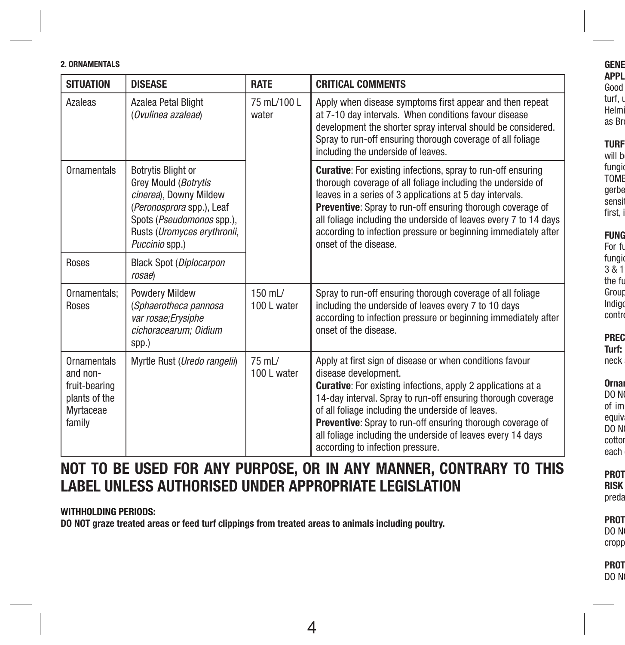#### **2. ORNAMENTALS**

| <b>SITUATION</b>                                                                        | <b>DISEASE</b>                                                                                                                                                                         | <b>RATE</b>            | <b>CRITICAL COMMENTS</b>                                                                                                                                                                                                                                                                                                                                                                                                                             |
|-----------------------------------------------------------------------------------------|----------------------------------------------------------------------------------------------------------------------------------------------------------------------------------------|------------------------|------------------------------------------------------------------------------------------------------------------------------------------------------------------------------------------------------------------------------------------------------------------------------------------------------------------------------------------------------------------------------------------------------------------------------------------------------|
| Azaleas                                                                                 | Azalea Petal Blight<br>(Ovulinea azaleae)                                                                                                                                              | 75 mL/100 L<br>water   | Apply when disease symptoms first appear and then repeat<br>at 7-10 day intervals. When conditions favour disease<br>development the shorter spray interval should be considered.<br>Spray to run-off ensuring thorough coverage of all foliage<br>including the underside of leaves.                                                                                                                                                                |
| Ornamentals                                                                             | <b>Botrytis Blight or</b><br>Grey Mould (Botrytis<br>cinerea), Downy Mildew<br>(Peronosprora spp.), Leaf<br>Spots (Pseudomonos spp.),<br>Rusts (Uromyces erythronii,<br>Puccinio spp.) |                        | <b>Curative:</b> For existing infections, spray to run-off ensuring<br>thorough coverage of all foliage including the underside of<br>leaves in a series of 3 applications at 5 day intervals.<br><b>Preventive:</b> Spray to run-off ensuring thorough coverage of<br>all foliage including the underside of leaves every 7 to 14 days<br>according to infection pressure or beginning immediately after<br>onset of the disease.                   |
| Roses                                                                                   | <b>Black Spot (Diplocarpon</b><br>rosae)                                                                                                                                               |                        |                                                                                                                                                                                                                                                                                                                                                                                                                                                      |
| Ornamentals;<br>Roses                                                                   | <b>Powdery Mildew</b><br>(Sphaerotheca pannosa<br>var rosae; Erysiphe<br>cichoracearum; Oidium<br>spp.)                                                                                | 150 mL/<br>100 L water | Spray to run-off ensuring thorough coverage of all foliage<br>including the underside of leaves every 7 to 10 days<br>according to infection pressure or beginning immediately after<br>onset of the disease.                                                                                                                                                                                                                                        |
| <b>Ornamentals</b><br>and non-<br>fruit-bearing<br>plants of the<br>Myrtaceae<br>family | Myrtle Rust (Uredo rangelii)                                                                                                                                                           | 75 mL/<br>100 L water  | Apply at first sign of disease or when conditions favour<br>disease development.<br><b>Curative:</b> For existing infections, apply 2 applications at a<br>14-day interval. Spray to run-off ensuring thorough coverage<br>of all foliage including the underside of leaves.<br><b>Preventive:</b> Spray to run-off ensuring thorough coverage of<br>all foliage including the underside of leaves every 14 days<br>according to infection pressure. |

## **NOT TO BE USED FOR ANY PURPOSE, OR IN ANY MANNER, CONTRARY TO THIS LABEL UNLESS AUTHORISED UNDER APPROPRIATE LEGISLATION**

**WITHHOLDING PERIODS:** 

**DO NOT graze treated areas or feed turf clippings from treated areas to animals including poultry.**

#### GENE **APPLICATION** Good turf, ı

Helmi as Bro

#### TURF

will b ingi<br>DME TOME gerbe sensit first, i

### **FUNG**

For fu fungio  $3 & 8 & 1$ the fu Group Indigo ontr

#### <mark>REC</mark><br>Jrf: **Turf:**

neck

#### **rna**<br>O N DO NOT of im

equiv DO N cotton ach

#### **PROT**<br>RISK **RISK**

preda

#### PROT DO N

cropp

PROT DO N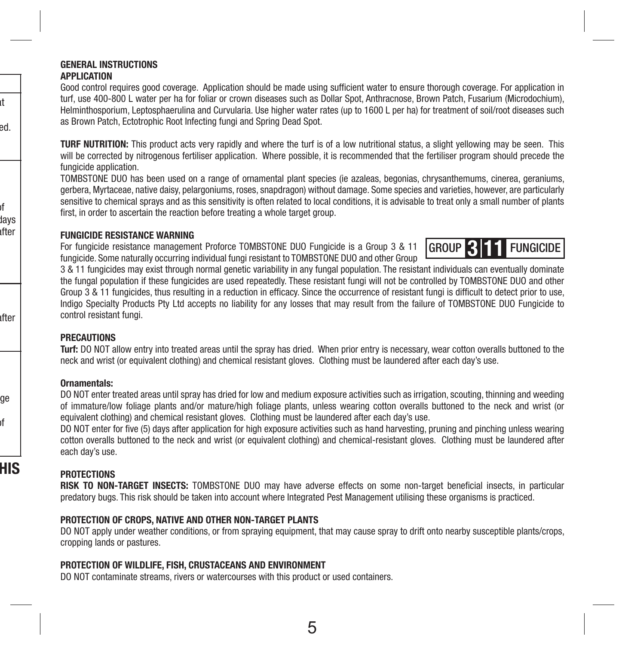#### **GENERAL INSTRUCTIONS**

#### **APPLICATION**

at ed.

pf days ıfter

ıfter

ge pf

**HIS** 

Good control requires good coverage. Application should be made using sufficient water to ensure thorough coverage. For application in turf, use 400-800 L water per ha for foliar or crown diseases such as Dollar Spot, Anthracnose, Brown Patch, Fusarium (Microdochium), Helminthosporium, Leptosphaerulina and Curvularia. Use higher water rates (up to 1600 L per ha) for treatment of soil/root diseases such as Brown Patch, Ectotrophic Root Infecting fungi and Spring Dead Spot.

**TURF NUTRITION:** This product acts very rapidly and where the turf is of a low nutritional status, a slight yellowing may be seen. This will be corrected by nitrogenous fertiliser application. Where possible, it is recommended that the fertiliser program should precede the fungicide application.

TOMBSTONE DUO has been used on a range of ornamental plant species (ie azaleas, begonias, chrysanthemums, cinerea, geraniums, gerbera, Myrtaceae, native daisy, pelargoniums, roses, snapdragon) without damage. Some species and varieties, however, are particularly sensitive to chemical sprays and as this sensitivity is often related to local conditions, it is advisable to treat only a small number of plants first, in order to ascertain the reaction before treating a whole target group.

#### **FUNGICIDE RESISTANCE WARNING**

For fungicide resistance management Proforce TOMBSTONE DUO Fungicide is a Group 3 & 11 fungicide. Some naturally occurring individual fungi resistant to TOMBSTONE DUO and other Group



3 & 11 fungicides may exist through normal genetic variability in any fungal population. The resistant individuals can eventually dominate the fungal population if these fungicides are used repeatedly. These resistant fungi will not be controlled by TOMBSTONE DUO and other Group 3 & 11 fungicides, thus resulting in a reduction in efficacy. Since the occurrence of resistant fungi is difficult to detect prior to use, Indigo Specialty Products Pty Ltd accepts no liability for any losses that may result from the failure of TOMBSTONE DUO Fungicide to control resistant fungi.

#### **PRECAUTIONS**

**Turf:** DO NOT allow entry into treated areas until the spray has dried. When prior entry is necessary, wear cotton overalls buttoned to the neck and wrist (or equivalent clothing) and chemical resistant gloves. Clothing must be laundered after each day's use.

#### **Ornamentals:**

DO NOT enter treated areas until spray has dried for low and medium exposure activities such as irrigation, scouting, thinning and weeding of immature/low foliage plants and/or mature/high foliage plants, unless wearing cotton overalls buttoned to the neck and wrist (or equivalent clothing) and chemical resistant gloves. Clothing must be laundered after each day's use.

DO NOT enter for five (5) days after application for high exposure activities such as hand harvesting, pruning and pinching unless wearing cotton overalls buttoned to the neck and wrist (or equivalent clothing) and chemical-resistant gloves. Clothing must be laundered after each day's use.

#### **PROTECTIONS**

**RISK TO NON-TARGET INSECTS:** TOMBSTONE DUO may have adverse effects on some non-target beneficial insects, in particular predatory bugs. This risk should be taken into account where Integrated Pest Management utilising these organisms is practiced.

#### **PROTECTION OF CROPS, NATIVE AND OTHER NON-TARGET PLANTS**

DO NOT apply under weather conditions, or from spraying equipment, that may cause spray to drift onto nearby susceptible plants/crops, cropping lands or pastures.

#### **PROTECTION OF WILDLIFE, FISH, CRUSTACEANS AND ENVIRONMENT**

DO NOT contaminate streams, rivers or watercourses with this product or used containers.

5